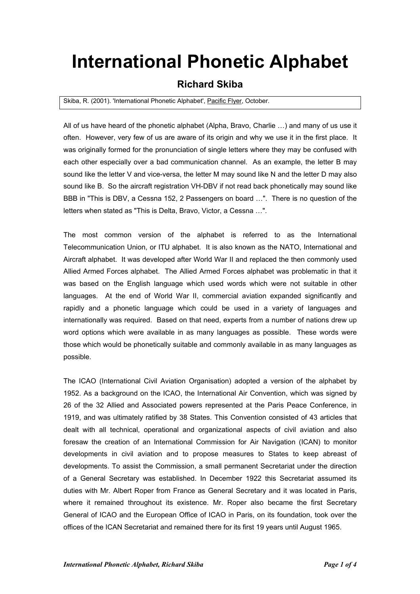## **International Phonetic Alphabet**

## **Richard Skiba**

## Skiba, R. (2001). 'International Phonetic Alphabet', Pacific Flyer, October.

All of us have heard of the phonetic alphabet (Alpha, Bravo, Charlie …) and many of us use it often. However, very few of us are aware of its origin and why we use it in the first place. It was originally formed for the pronunciation of single letters where they may be confused with each other especially over a bad communication channel. As an example, the letter B may sound like the letter V and vice-versa, the letter M may sound like N and the letter D may also sound like B. So the aircraft registration VH-DBV if not read back phonetically may sound like BBB in "This is DBV, a Cessna 152, 2 Passengers on board …". There is no question of the letters when stated as "This is Delta, Bravo, Victor, a Cessna …".

The most common version of the alphabet is referred to as the International Telecommunication Union, or ITU alphabet. It is also known as the NATO, International and Aircraft alphabet. It was developed after World War II and replaced the then commonly used Allied Armed Forces alphabet. The Allied Armed Forces alphabet was problematic in that it was based on the English language which used words which were not suitable in other languages. At the end of World War II, commercial aviation expanded significantly and rapidly and a phonetic language which could be used in a variety of languages and internationally was required. Based on that need, experts from a number of nations drew up word options which were available in as many languages as possible. These words were those which would be phonetically suitable and commonly available in as many languages as possible.

The ICAO (International Civil Aviation Organisation) adopted a version of the alphabet by 1952. As a background on the ICAO, the International Air Convention, which was signed by 26 of the 32 Allied and Associated powers represented at the Paris Peace Conference, in 1919, and was ultimately ratified by 38 States. This Convention consisted of 43 articles that dealt with all technical, operational and organizational aspects of civil aviation and also foresaw the creation of an International Commission for Air Navigation (ICAN) to monitor developments in civil aviation and to propose measures to States to keep abreast of developments. To assist the Commission, a small permanent Secretariat under the direction of a General Secretary was established. In December 1922 this Secretariat assumed its duties with Mr. Albert Roper from France as General Secretary and it was located in Paris, where it remained throughout its existence. Mr. Roper also became the first Secretary General of ICAO and the European Office of ICAO in Paris, on its foundation, took over the offices of the ICAN Secretariat and remained there for its first 19 years until August 1965.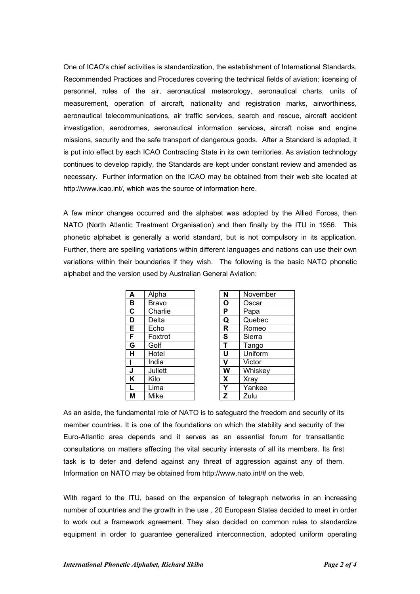One of ICAO's chief activities is standardization, the establishment of International Standards, Recommended Practices and Procedures covering the technical fields of aviation: licensing of personnel, rules of the air, aeronautical meteorology, aeronautical charts, units of measurement, operation of aircraft, nationality and registration marks, airworthiness, aeronautical telecommunications, air traffic services, search and rescue, aircraft accident investigation, aerodromes, aeronautical information services, aircraft noise and engine missions, security and the safe transport of dangerous goods. After a Standard is adopted, it is put into effect by each ICAO Contracting State in its own territories. As aviation technology continues to develop rapidly, the Standards are kept under constant review and amended as necessary. Further information on the ICAO may be obtained from their web site located at [http://www.icao.int/,](http://www.icao.int/) which was the source of information here.

A few minor changes occurred and the alphabet was adopted by the Allied Forces, then NATO (North Atlantic Treatment Organisation) and then finally by the ITU in 1956. This phonetic alphabet is generally a world standard, but is not compulsory in its application. Further, there are spelling variations within different languages and nations can use their own variations within their boundaries if they wish. The following is the basic NATO phonetic alphabet and the version used by Australian General Aviation:

| A                       | Alpha        | N | November    |
|-------------------------|--------------|---|-------------|
| B                       | <b>Bravo</b> | O | Oscar       |
| $\overline{\mathbf{c}}$ | Charlie      | P | Papa        |
| D                       | Delta        | Q | Quebec      |
| Е                       | Echo         | R | Romeo       |
| F                       | Foxtrot      | S | Sierra      |
| G                       | Golf         | T | Tango       |
| н                       | Hotel        | U | Uniform     |
|                         | India        | v | Victor      |
| J                       | Juliett      | W | Whiskey     |
| Κ                       | Kilo         | X | <b>Xray</b> |
| L                       | Lima         | Υ | Yankee      |
| М                       | Mike         | Z | Zulu        |

| N                       | November |
|-------------------------|----------|
| 0                       | Oscar    |
| $\overline{\mathsf{P}}$ | Papa     |
| $\overline{\mathtt{Q}}$ | Quebec   |
| $\overline{\mathsf{R}}$ | Romeo    |
| $\overline{\mathbf{s}}$ | Sierra   |
| T                       | Tango    |
| Ù                       | Uniform  |
| $\overline{\textsf{v}}$ | Victor   |
| W                       | Whiskey  |
| X                       | Xray     |
| Ý                       | Yankee   |
| Z                       | Zulu     |

As an aside, the fundamental role of NATO is to safeguard the freedom and security of its member countries. It is one of the foundations on which the stability and security of the Euro-Atlantic area depends and it serves as an essential forum for transatlantic consultations on matters affecting the vital security interests of all its members. Its first task is to deter and defend against any threat of aggression against any of them. Information on NATO may be obtained from http://www.nato.int/# on the web.

With regard to the ITU, based on the expansion of telegraph networks in an increasing number of countries and the growth in the use , 20 European States decided to meet in order to work out a framework agreement. They also decided on common rules to standardize equipment in order to guarantee generalized interconnection, adopted uniform operating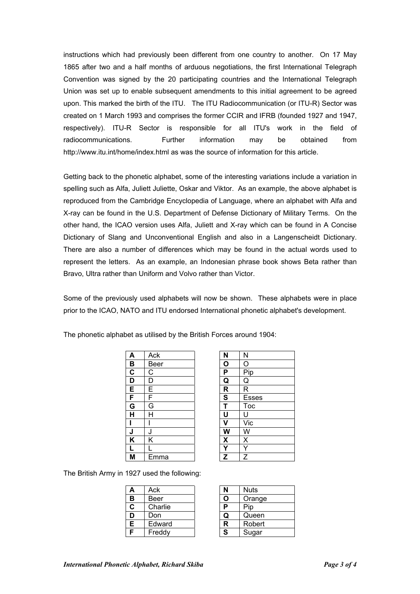instructions which had previously been different from one country to another. On 17 May 1865 after two and a half months of arduous negotiations, the first International Telegraph Convention was signed by the 20 participating countries and the International Telegraph Union was set up to enable subsequent amendments to this initial agreement to be agreed upon. This marked the birth of the ITU. The ITU Radiocommunication (or ITU-R) Sector was created on 1 March 1993 and comprises the former CCIR and IFRB (founded 1927 and 1947, respectively). ITU-R Sector is responsible for all ITU's work in the field of radiocommunications. Further information may be obtained from <http://www.itu.int/home/index.html>as was the source of information for this article.

Getting back to the phonetic alphabet, some of the interesting variations include a variation in spelling such as Alfa, Juliett Juliette, Oskar and Viktor. As an example, the above alphabet is reproduced from the Cambridge Encyclopedia of Language, where an alphabet with Alfa and X-ray can be found in the U.S. Department of Defense Dictionary of Military Terms. On the other hand, the ICAO version uses Alfa, Juliett and X-ray which can be found in A Concise Dictionary of Slang and Unconventional English and also in a Langenscheidt Dictionary. There are also a number of differences which may be found in the actual words used to represent the letters. As an example, an Indonesian phrase book shows Beta rather than Bravo, Ultra rather than Uniform and Volvo rather than Victor.

Some of the previously used alphabets will now be shown. These alphabets were in place prior to the ICAO, NATO and ITU endorsed International phonetic alphabet's development.

| A                       | Ack  | N                         | N            |
|-------------------------|------|---------------------------|--------------|
| B                       | Beer | О                         | Ω            |
| $\overline{\mathbf{c}}$ | C    | P                         | Pip          |
| $\overline{\mathsf{D}}$ | D    | Q                         | Q            |
| E                       | E    | R                         | R            |
| F                       | F    | $\overline{\mathbf{s}}$   | <b>Esses</b> |
| $\overline{\mathsf{G}}$ | G    |                           | Toc          |
| H                       | H    | U                         | U            |
|                         |      | v                         | Vic          |
| J                       | J    | W                         | W            |
| $\overline{\mathsf{K}}$ | Κ    | $\boldsymbol{\mathsf{X}}$ | X            |
| L                       |      |                           |              |
| M                       | Emma | Z                         | Z            |

| N                        | N                                    |
|--------------------------|--------------------------------------|
| $\overline{\mathbf{o}}$  | $\overline{O}$                       |
| $\overline{\mathsf{P}}$  | Pip                                  |
| $\frac{\overline{Q}}{S}$ | $\overline{Q}$                       |
|                          | $\overline{\mathsf{R}}$              |
|                          | Esses                                |
| $\overline{\mathsf{T}}$  | <b>Toc</b>                           |
| $\overline{\mathsf{U}}$  | U                                    |
| $\overline{\mathsf{v}}$  | Vic                                  |
| $\overline{\mathsf{W}}$  | $\frac{\overline{W}}{\underline{X}}$ |
| $\overline{\mathsf{X}}$  |                                      |
| $\frac{\overline{Y}}{Z}$ | Y                                    |
|                          | $\overline{z}$                       |

The British Army in 1927 used the following:

|    | Ack     |   | <b>Nuts</b> |
|----|---------|---|-------------|
| в  | Beer    |   | Orange      |
| C  | Charlie |   | סוׂי        |
|    | Don     | O | Queen       |
| E. | Edward  | R | Robert      |
|    | Freddy  | S | Sugar       |

| $\mathbf{N}$ | Nuts   |
|--------------|--------|
|              | Orange |
| P            | Pip    |
| u            | Queen  |
| R            | Robert |
| S            | Sugar  |

The phonetic alphabet as utilised by the British Forces around 1904: